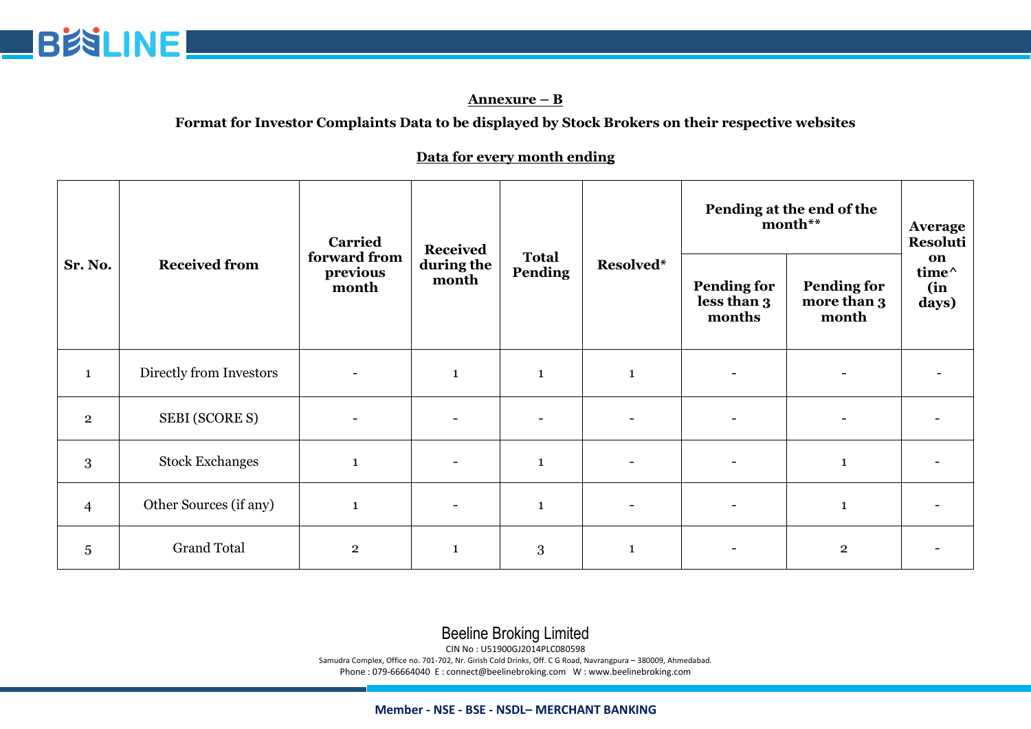

#### **Annexure – B**

### **Format for Investor Complaints Data to be displayed by Stock Brokers on their respective websites**

#### **Data for every month ending**

| Sr. No.        | <b>Received from</b>    | <b>Carried</b><br>forward from<br>previous<br>month | <b>Received</b><br>during the<br>month | <b>Total</b><br>Pending | Resolved*                | Pending at the end of the<br>month**        |                                            | <b>Average</b><br>Resoluti  |
|----------------|-------------------------|-----------------------------------------------------|----------------------------------------|-------------------------|--------------------------|---------------------------------------------|--------------------------------------------|-----------------------------|
|                |                         |                                                     |                                        |                         |                          | <b>Pending for</b><br>less than 3<br>months | <b>Pending for</b><br>more than 3<br>month | on<br>time^<br>(in<br>days) |
| $\mathbf{1}$   | Directly from Investors |                                                     | $\mathbf 1$                            | $\mathbf 1$             | $\mathbf{1}$             |                                             |                                            |                             |
| $\overline{2}$ | <b>SEBI (SCORE S)</b>   |                                                     |                                        | ۳                       |                          |                                             |                                            |                             |
| 3              | <b>Stock Exchanges</b>  | $\mathbf{1}$                                        |                                        | $\mathbf{1}$            |                          |                                             | $\mathbf{1}$                               |                             |
| $\overline{4}$ | Other Sources (if any)  | $\mathbf{1}$                                        | $\overline{\phantom{a}}$               | $\mathbf{1}$            | $\overline{\phantom{a}}$ |                                             | $\mathbf{1}$                               |                             |
| 5              | <b>Grand Total</b>      | $\overline{2}$                                      | $\mathbf{1}$                           | 3                       | $\mathbf{1}$             |                                             | $\overline{\mathbf{2}}$                    |                             |

# Beeline Broking Limited

CIN No : U51900GJ2014PLC080598

Samudra Complex, Office no. 701-702, Nr. Girish Cold Drinks, Off. C G Road, Navrangpura – 380009, Ahmedabad. Phone : 079-66664040 E : connect@beelinebroking.com W : www.beelinebroking.com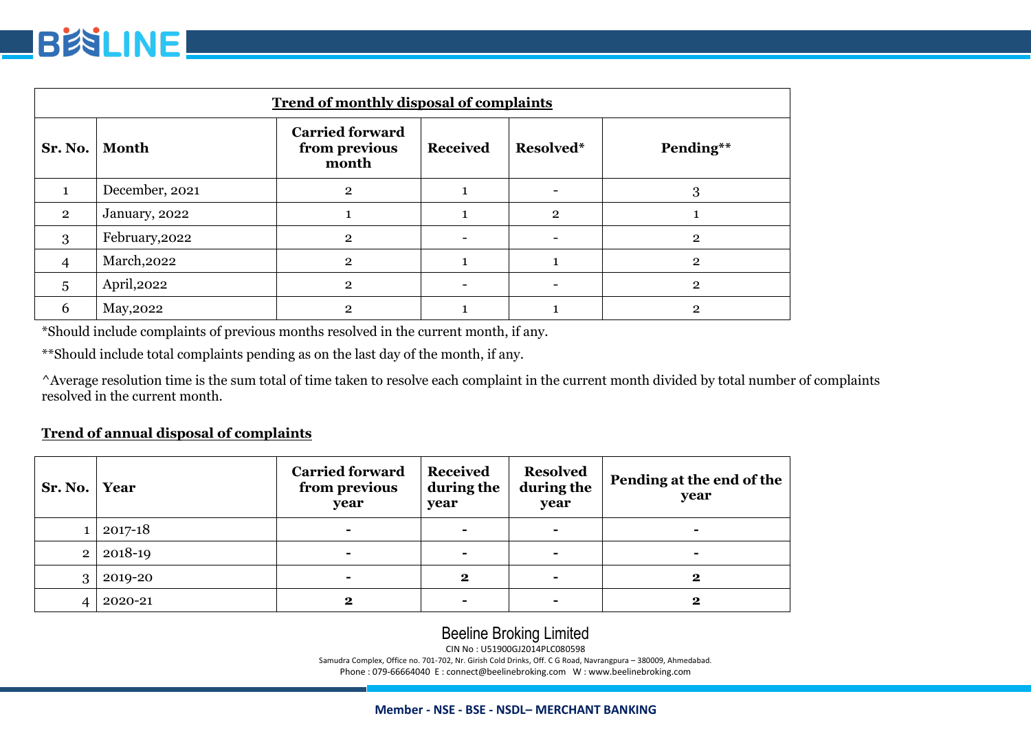

| <b>Trend of monthly disposal of complaints</b> |                |                                                  |                 |                |                |  |
|------------------------------------------------|----------------|--------------------------------------------------|-----------------|----------------|----------------|--|
| Sr. No.                                        | <b>Month</b>   | <b>Carried forward</b><br>from previous<br>month | <b>Received</b> | Resolved*      | Pending**      |  |
|                                                | December, 2021 | $\overline{2}$                                   |                 |                | 3              |  |
| $\overline{2}$                                 | January, 2022  |                                                  |                 | $\overline{2}$ |                |  |
| 3                                              | February, 2022 | $\mathbf{2}$                                     |                 |                | $\mathbf{2}$   |  |
| 4                                              | March, 2022    | $\mathbf{2}$                                     |                 |                | $\overline{2}$ |  |
| 5                                              | April, 2022    | $\overline{2}$                                   |                 |                | $\overline{2}$ |  |
| 6                                              | May, 2022      | $\mathbf{2}$                                     |                 |                | 2              |  |

\*Should include complaints of previous months resolved in the current month, if any.

\*\*Should include total complaints pending as on the last day of the month, if any.

^Average resolution time is the sum total of time taken to resolve each complaint in the current month divided by total number of complaints resolved in the current month.

#### **Trend of annual disposal of complaints**

| Sr. No.        | Year    | <b>Carried forward</b><br>from previous<br>year | <b>Received</b><br>during the<br>year | <b>Resolved</b><br>during the<br>year | Pending at the end of the<br>year |
|----------------|---------|-------------------------------------------------|---------------------------------------|---------------------------------------|-----------------------------------|
|                | 2017-18 | -                                               | $\blacksquare$                        | $\blacksquare$                        | -                                 |
| $\overline{2}$ | 2018-19 |                                                 | $\blacksquare$                        | ۰                                     |                                   |
| 3              | 2019-20 | -                                               | $\bf{2}$                              | -                                     | 2                                 |
|                | 2020-21 | 2                                               | $\blacksquare$                        | -                                     | 2                                 |

# Beeline Broking Limited

CIN No : U51900GJ2014PLC080598

Samudra Complex, Office no. 701-702, Nr. Girish Cold Drinks, Off. C G Road, Navrangpura – 380009, Ahmedabad. Phone : 079-66664040 E : connect@beelinebroking.com W : www.beelinebroking.com

#### **Member - NSE - BSE - NSDL– MERCHANT BANKING**